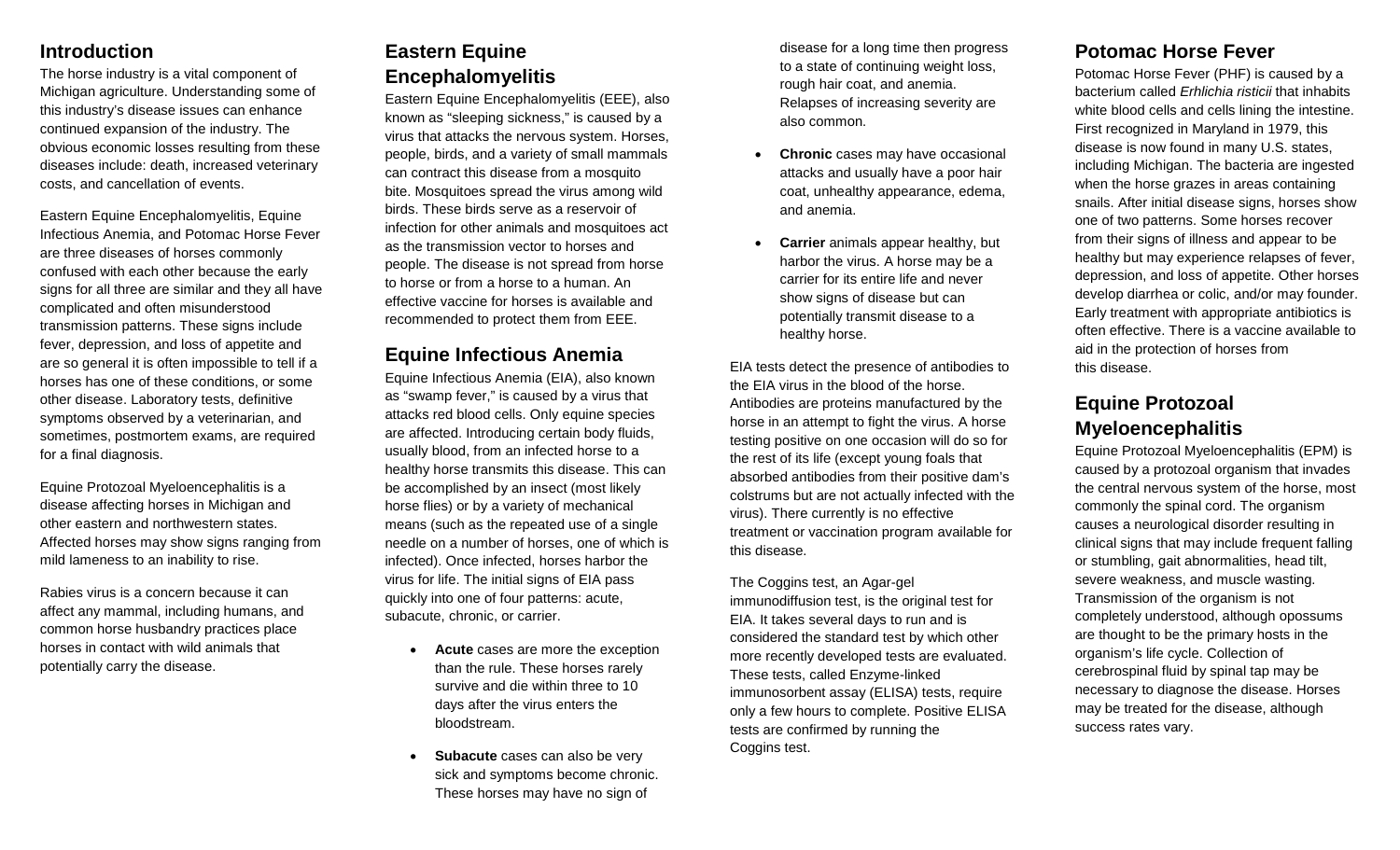## **Introduction**

The horse industry is a vital component of Michigan agriculture. Understanding some of this industry's disease issues can enhance continued expansion of the industry. The obvious economic losses resulting from these diseases include: death, increased veterinary costs, and cancellation of events.

Eastern Equine Encephalomyelitis, Equine Infectious Anemia, and Potomac Horse Fever are three diseases of horses commonly confused with each other because the early signs for all three are similar and they all have complicated and often misunderstood transmission patterns. These signs include fever, depression, and loss of appetite and are so general it is often impossible to tell if a horses has one of these conditions, or some other disease. Laboratory tests, definitive symptoms observed by a veterinarian, and sometimes, postmortem exams, are required for a final diagnosis.

Equine Protozoal Myeloencephalitis is a disease affecting horses in Michigan and other eastern and northwestern states. Affected horses may show signs ranging from mild lameness to an inability to rise.

Rabies virus is a concern because it can affect any mammal, including humans, and common horse husbandry practices place horses in contact with wild animals that potentially carry the disease.

# **Eastern Equine Encephalomyelitis**

Eastern Equine Encephalomyelitis (EEE), also known as "sleeping sickness," is caused by a virus that attacks the nervous system. Horses, people, birds, and a variety of small mammals can contract this disease from a mosquito bite. Mosquitoes spread the virus among wild birds. These birds serve as a reservoir of infection for other animals and mosquitoes act as the transmission vector to horses and people. The disease is not spread from horse to horse or from a horse to a human. An effective vaccine for horses is available and recommended to protect them from EEE.

## **Equine Infectious Anemia**

Equine Infectious Anemia (EIA), also known as "swamp fever," is caused by a virus that attacks red blood cells. Only equine species are affected. Introducing certain body fluids, usually blood, from an infected horse to a healthy horse transmits this disease. This can be accomplished by an insect (most likely horse flies) or by a variety of mechanical means (such as the repeated use of a single needle on a number of horses, one of which is infected). Once infected, horses harbor the virus for life. The initial signs of EIA pass quickly into one of four patterns: acute, subacute, chronic, or carrier.

- **Acute** cases are more the exception than the rule. These horses rarely survive and die within three to 10 days after the virus enters the bloodstream.
- **Subacute** cases can also be very sick and symptoms become chronic. These horses may have no sign of

disease for a long time then progress to a state of continuing weight loss, rough hair coat, and anemia. Relapses of increasing severity are also common.

- **Chronic** cases may have occasional attacks and usually have a poor hair coat, unhealthy appearance, edema, and anemia.
- **Carrier** animals appear healthy, but harbor the virus. A horse may be a carrier for its entire life and never show signs of disease but can potentially transmit disease to a healthy horse.

EIA tests detect the presence of antibodies to the EIA virus in the blood of the horse. Antibodies are proteins manufactured by the horse in an attempt to fight the virus. A horse testing positive on one occasion will do so for the rest of its life (except young foals that absorbed antibodies from their positive dam's colstrums but are not actually infected with the virus). There currently is no effective treatment or vaccination program available for this disease.

The Coggins test, an Agar-gel immunodiffusion test, is the original test for EIA. It takes several days to run and is considered the standard test by which other more recently developed tests are evaluated. These tests, called Enzyme-linked immunosorbent assay (ELISA) tests, require only a few hours to complete. Positive ELISA tests are confirmed by running the Coggins test.

## **Potomac Horse Fever**

Potomac Horse Fever (PHF) is caused by a bacterium called *Erhlichia risticii* that inhabits white blood cells and cells lining the intestine. First recognized in Maryland in 1979, this disease is now found in many U.S. states, including Michigan. The bacteria are ingested when the horse grazes in areas containing snails. After initial disease signs, horses show one of two patterns. Some horses recover from their signs of illness and appear to be healthy but may experience relapses of fever, depression, and loss of appetite. Other horses develop diarrhea or colic, and/or may founder. Early treatment with appropriate antibiotics is often effective. There is a vaccine available to aid in the protection of horses from this disease.

# **Equine Protozoal Myeloencephalitis**

Equine Protozoal Myeloencephalitis (EPM) is caused by a protozoal organism that invades the central nervous system of the horse, most commonly the spinal cord. The organism causes a neurological disorder resulting in clinical signs that may include frequent falling or stumbling, gait abnormalities, head tilt, severe weakness, and muscle wasting. Transmission of the organism is not completely understood, although opossums are thought to be the primary hosts in the organism's life cycle. Collection of cerebrospinal fluid by spinal tap may be necessary to diagnose the disease. Horses may be treated for the disease, although success rates vary.